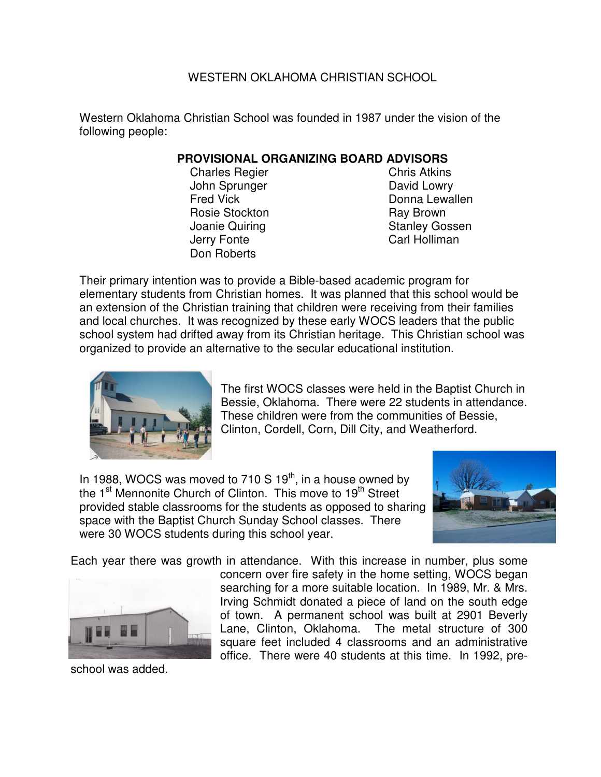### WESTERN OKLAHOMA CHRISTIAN SCHOOL

Western Oklahoma Christian School was founded in 1987 under the vision of the following people:

### **PROVISIONAL ORGANIZING BOARD ADVISORS**

- Charles Regier **Charles Regier** Chris Atkins John Sprunger **David Lowry** Fred Vick **Donna Lewallen** Rosie Stockton **Ray Brown** Joanie Quiring **Stanley Gossen** Jerry Fonte **Carl Holliman** Don Roberts
- 

Their primary intention was to provide a Bible-based academic program for elementary students from Christian homes. It was planned that this school would be an extension of the Christian training that children were receiving from their families and local churches. It was recognized by these early WOCS leaders that the public school system had drifted away from its Christian heritage. This Christian school was organized to provide an alternative to the secular educational institution.



The first WOCS classes were held in the Baptist Church in Bessie, Oklahoma. There were 22 students in attendance. These children were from the communities of Bessie, Clinton, Cordell, Corn, Dill City, and Weatherford.

In 1988, WOCS was moved to 710 S  $19<sup>th</sup>$ , in a house owned by the 1<sup>st</sup> Mennonite Church of Clinton. This move to 19<sup>th</sup> Street provided stable classrooms for the students as opposed to sharing space with the Baptist Church Sunday School classes. There were 30 WOCS students during this school year.



Each year there was growth in attendance. With this increase in number, plus some



school was added.

concern over fire safety in the home setting, WOCS began searching for a more suitable location. In 1989, Mr. & Mrs. Irving Schmidt donated a piece of land on the south edge of town. A permanent school was built at 2901 Beverly Lane, Clinton, Oklahoma. The metal structure of 300 square feet included 4 classrooms and an administrative office. There were 40 students at this time. In 1992, pre-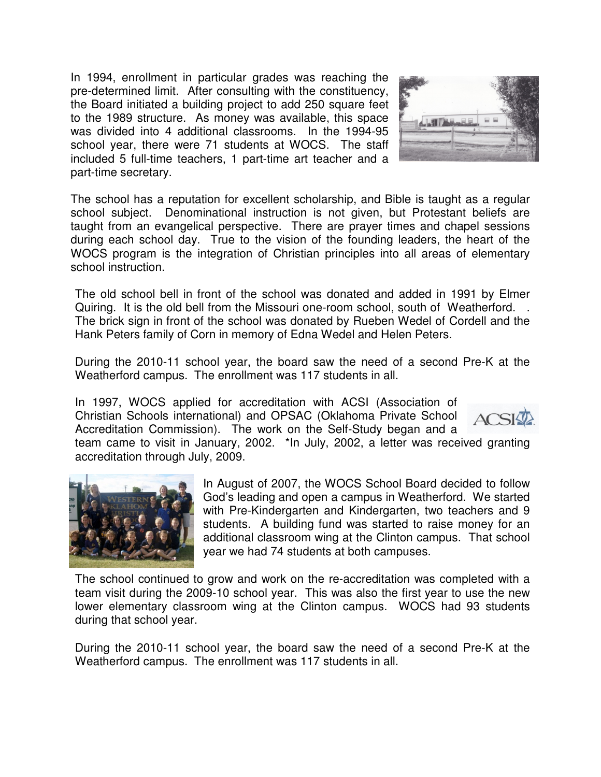In 1994, enrollment in particular grades was reaching the pre-determined limit. After consulting with the constituency, the Board initiated a building project to add 250 square feet to the 1989 structure. As money was available, this space was divided into 4 additional classrooms. In the 1994-95 school year, there were 71 students at WOCS. The staff included 5 full-time teachers, 1 part-time art teacher and a part-time secretary.



The school has a reputation for excellent scholarship, and Bible is taught as a regular school subject. Denominational instruction is not given, but Protestant beliefs are taught from an evangelical perspective. There are prayer times and chapel sessions during each school day. True to the vision of the founding leaders, the heart of the WOCS program is the integration of Christian principles into all areas of elementary school instruction.

The old school bell in front of the school was donated and added in 1991 by Elmer Quiring. It is the old bell from the Missouri one-room school, south of Weatherford. . The brick sign in front of the school was donated by Rueben Wedel of Cordell and the Hank Peters family of Corn in memory of Edna Wedel and Helen Peters.

During the 2010-11 school year, the board saw the need of a second Pre-K at the Weatherford campus. The enrollment was 117 students in all.

In 1997, WOCS applied for accreditation with ACSI (Association of Christian Schools international) and OPSAC (Oklahoma Private School Accreditation Commission). The work on the Self-Study began and a



team came to visit in January, 2002. \*In July, 2002, a letter was received granting accreditation through July, 2009.



In August of 2007, the WOCS School Board decided to follow God's leading and open a campus in Weatherford. We started with Pre-Kindergarten and Kindergarten, two teachers and 9 students. A building fund was started to raise money for an additional classroom wing at the Clinton campus. That school year we had 74 students at both campuses.

The school continued to grow and work on the re-accreditation was completed with a team visit during the 2009-10 school year. This was also the first year to use the new lower elementary classroom wing at the Clinton campus. WOCS had 93 students during that school year.

During the 2010-11 school year, the board saw the need of a second Pre-K at the Weatherford campus. The enrollment was 117 students in all.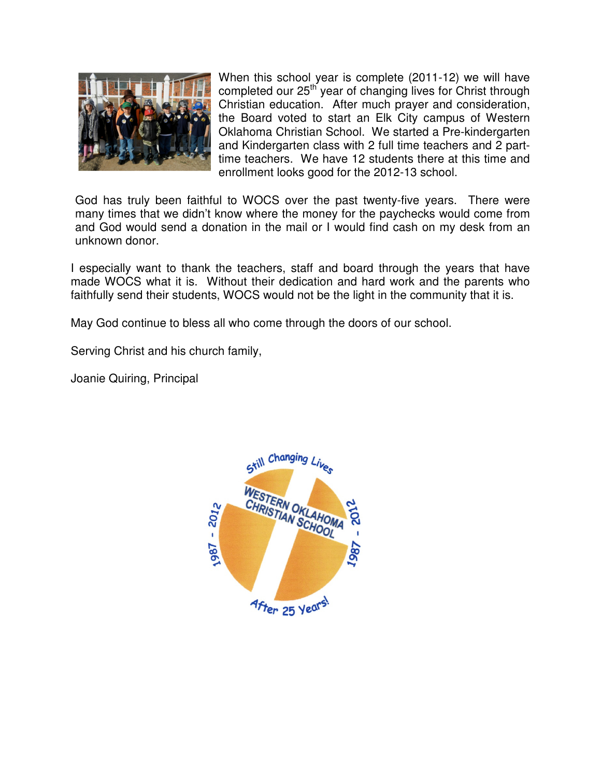

When this school year is complete (2011-12) we will have completed our 25<sup>th</sup> year of changing lives for Christ through Christian education. After much prayer and consideration, the Board voted to start an Elk City campus of Western Oklahoma Christian School. We started a Pre-kindergarten and Kindergarten class with 2 full time teachers and 2 parttime teachers. We have 12 students there at this time and enrollment looks good for the 2012-13 school.

God has truly been faithful to WOCS over the past twenty-five years. There were many times that we didn't know where the money for the paychecks would come from and God would send a donation in the mail or I would find cash on my desk from an unknown donor.

I especially want to thank the teachers, staff and board through the years that have made WOCS what it is. Without their dedication and hard work and the parents who faithfully send their students, WOCS would not be the light in the community that it is.

May God continue to bless all who come through the doors of our school.

Serving Christ and his church family,

Joanie Quiring, Principal

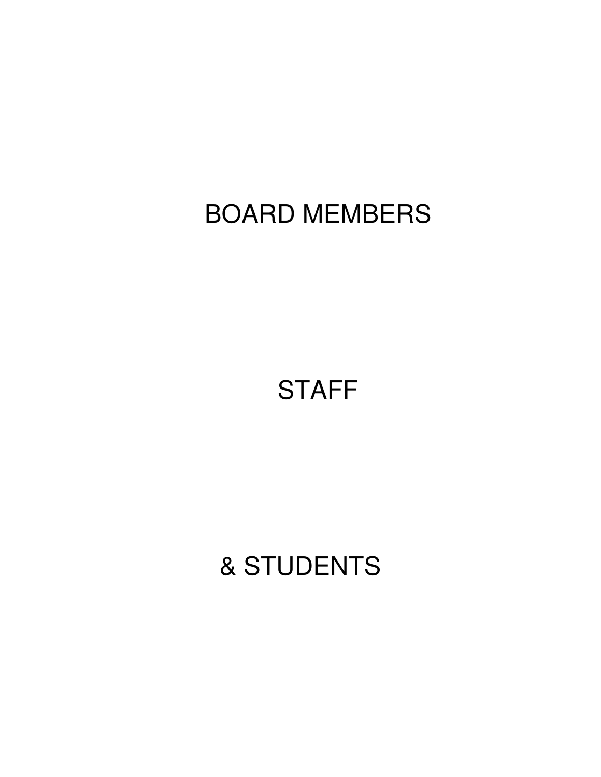**STAFF** 

& STUDENTS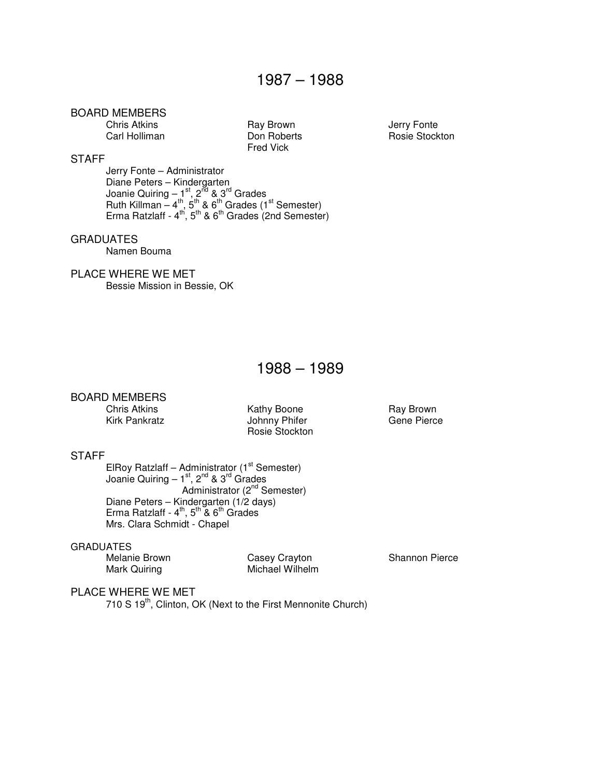Chris Atkins **Chris Atkins** Ray Brown **Chris Atkins** Carl Holliman **Carl Holliman** Don Roberts Conte

Fred Vick

Rosie Stockton

#### **STAFF**

Jerry Fonte – Administrator Diane Peters – Kindergarten Joanie Quiring – 1st, 2<sup>nd</sup> & 3<sup>rd</sup> Grades Ruth Killman –  $4^{\text{th}}$ , 5<sup>th</sup> & 6<sup>th</sup> Grades (1<sup>st</sup> Semester) Erma Ratzlaff -  $4^{th}$ ,  $5^{th}$  &  $6^{th}$  Grades (2nd Semester)

#### **GRADUATES**

Namen Bouma

#### PLACE WHERE WE MET

Bessie Mission in Bessie, OK

### 1988 – 1989

#### BOARD MEMBERS

Chris Atkins Kathy Boone Ray Brown Johnny Phifer Rosie Stockton

#### STAFF

ElRoy Ratzlaff – Administrator  $(1<sup>st</sup>$  Semester) Joanie Quiring – 1<sup>st</sup>, 2<sup>nd</sup> & 3<sup>rd</sup> Grades Administrator (2<sup>nd</sup> Semester) Diane Peters – Kindergarten (1/2 days) Erma Ratzlaff -  $4^{\text{th}}$ ,  $5^{\text{th}}$  &  $6^{\text{th}}$  Grades Mrs. Clara Schmidt - Chapel

## GRADUATES<br>Melanie Brown

Melanie Brown Casey Crayton Casey Crayton Shannon Pierce<br>
Michael Wilhelm<br>
Michael Wilhelm Michael Wilhelm

#### PLACE WHERE WE MET

710 S 19<sup>th</sup>, Clinton, OK (Next to the First Mennonite Church)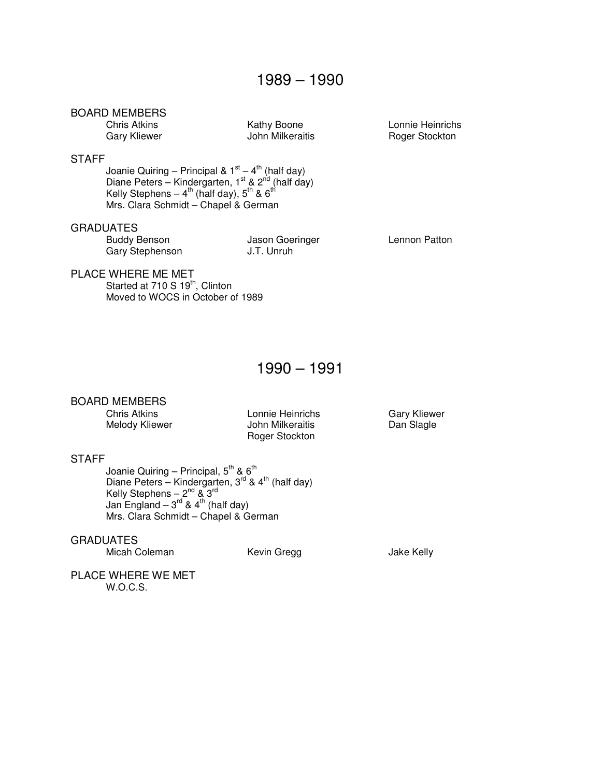John Milkeraitis

Chris Atkins Kathy Boone Lonnie Heinrichs

#### **STAFF**

Joanie Quiring – Principal & 1 $st - 4$ <sup>th</sup> (half day) Diane Peters – Kindergarten, 1<sup>st</sup> & 2<sup>nd</sup> (half day) Kelly Stephens –  $4^{\text{th}}$  (half day),  $5^{\text{th}}$  &  $6^{\text{th}}$ Mrs. Clara Schmidt – Chapel & German

#### GRADUATES

 Buddy Benson Jason Goeringer Lennon Patton Gary Stephenson J.T. Unruh

#### PLACE WHERE ME MET

Started at  $710 S 19<sup>th</sup>$ , Clinton Moved to WOCS in October of 1989

### 1990 – 1991

#### BOARD MEMBERS

Chris Atkins Lonnie Heinrichs Gary Kliewer Melody Kliewer **Melody Kliewer** John Milkeraitis **Dan Slagle** Roger Stockton

#### **STAFF**

Joanie Quiring – Principal,  $5^\text{th}$  &  $6^\text{th}$ Diane Peters – Kindergarten, 3<sup>rd</sup> & 4<sup>th</sup> (half day) Kelly Stephens –  $2^{\text{nd}}$  &  $3^{\text{rd}}$ Jan England –  $3^{rd}$  & 4<sup>th</sup> (half day) Mrs. Clara Schmidt – Chapel & German

#### **GRADUATES**

Micah Coleman Kevin Gregg Gregg Jake Kelly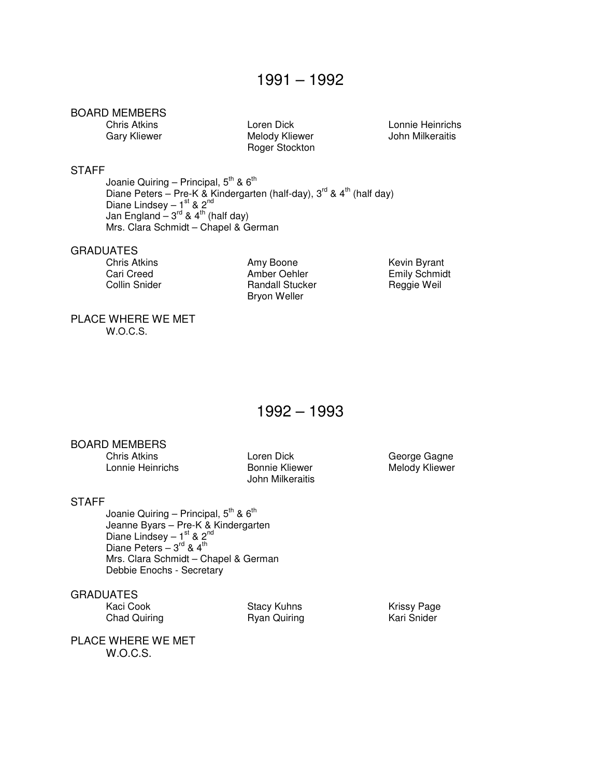Melody Kliewer Roger Stockton

Chris Atkins Loren Dick Lonnie Heinrichs

#### **STAFF**

Joanie Quiring – Principal,  $5^{\text{th}}$  &  $6^{\text{th}}$ Diane Peters – Pre-K & Kindergarten (half-day),  $3^{rd}$  & 4<sup>th</sup> (half day) Diane Lindsey – 1st & 2<sup>nd</sup> Jan England –  $3^{\text{rd}}$  & 4<sup>th</sup> (half day) Mrs. Clara Schmidt – Chapel & German

## GRADUATES<br>Chris Atkins

Chris Atkins **Amy Boone** Amy Boone **Kevin Byrant**<br>
Cari Creed **Amber Oehler** Emily Schmidt Amber Oehler Collin Snider **Randall Stucker** Reggie Weil Bryon Weller

#### PLACE WHERE WE MET W.O.C.S.

### 1992 – 1993

#### BOARD MEMBERS

Chris Atkins **Chris Atkins Community Community** Loren Dick Community George Gagne<br>Connie Heinrichs Christ Christen Bonnie Kliewer Christen Melody Kliewer Lonnie Heinrichs **Bonnie Kliewer** Melody Kliewer

John Milkeraitis

#### **STAFF**

Joanie Quiring – Principal,  $5^{\text{th}}$  &  $6^{\text{th}}$  Jeanne Byars – Pre-K & Kindergarten Diane Lindsey –  $1<sup>st</sup>$  & 2<sup>nd</sup> Diane Peters  $-3^{\text{rd}}$  & 4<sup>th</sup> Mrs. Clara Schmidt – Chapel & German Debbie Enochs - Secretary

#### GRADUATES

Chad Quiring

Kaci Cook **Stacy Kuhns** Krissy Page<br>
Chad Quiring **Stacy Aurely Stacy Communist Cook** Kari Snider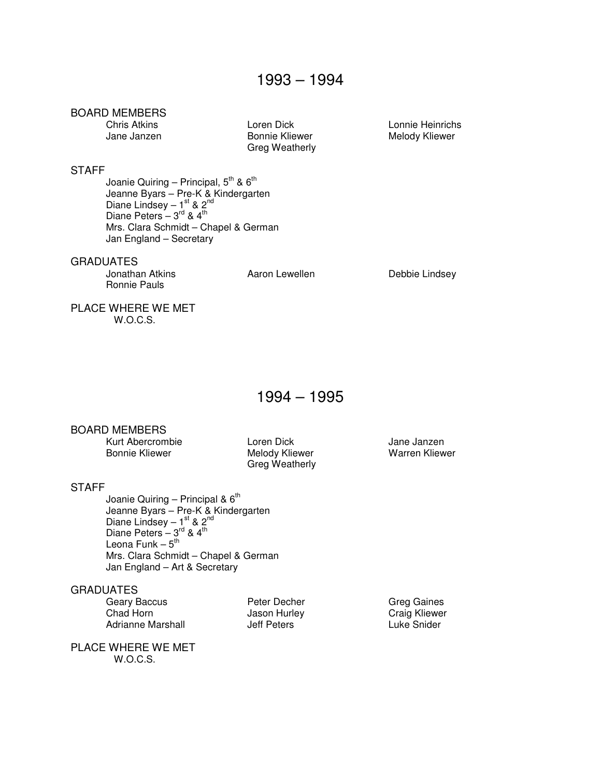Greg Weatherly

Chris Atkins Loren Dick Lonnie Heinrichs Melody Kliewer

#### **STAFF**

Joanie Quiring – Principal,  $5^{\text{th}}$  &  $6^{\text{th}}$  Jeanne Byars – Pre-K & Kindergarten Diane Lindsey –  $1^{\text{st}}$  & 2<sup>nd</sup> Diane Peters –  $3^{\text{rd}}$  &  $4^{\text{th}}$  Mrs. Clara Schmidt – Chapel & German Jan England – Secretary

#### GRADUATES

Ronnie Pauls

Jonathan Atkins **Aaron Lewellen** Aaron Lewellen **Debbie Lindsey** 

PLACE WHERE WE MET W.O.C.S.

## 1994 – 1995

#### BOARD MEMBERS

Kurt Abercrombie Loren Dick Jane Janzen

Melody Kliewer Greg Weatherly

#### **STAFF**

Joanie Quiring – Principal &  $6<sup>th</sup>$  Jeanne Byars – Pre-K & Kindergarten Diane Lindsey –  $1<sup>st</sup>$  & 2<sup>nd</sup> Diane Peters –  $3^{\text{rd}}$  &  $4^{\text{th}}$ Leona Funk –  $5^{\sf th}$  Mrs. Clara Schmidt – Chapel & German Jan England – Art & Secretary

#### **GRADUATES**

Geary Baccus **Carry Baccus** Peter Decher **Peter Search Carry Greg Gaines**<br>
Chad Horn Chaig Kliewer Adrianne Marshall

Jason Hurley **Changes** Craig Kliewer<br>
Jeff Peters **Changes** Luke Snider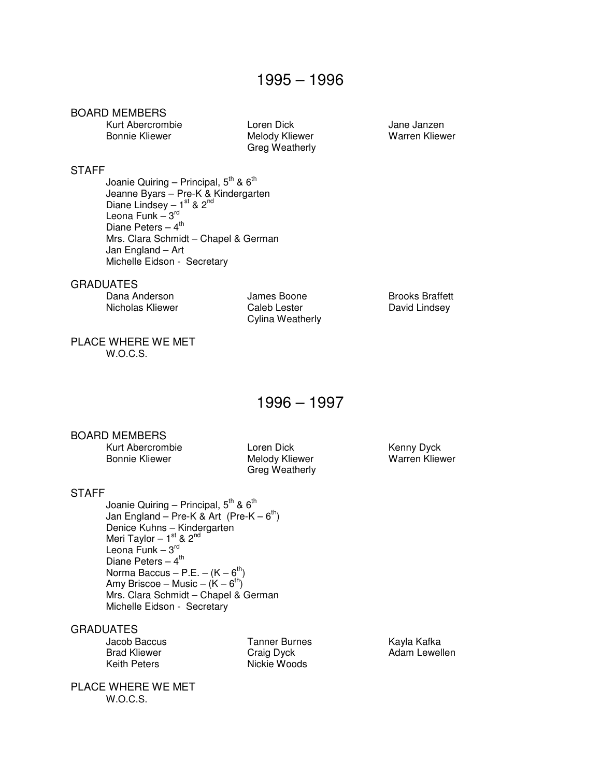Kurt Abercrombie Loren Dick Jane Janzen

Melody Kliewer Greg Weatherly

#### **STAFF**

Joanie Quiring – Principal,  $5^{\text{th}}$  &  $6^{\text{th}}$  Jeanne Byars – Pre-K & Kindergarten Diane Lindsey –  $1^{st}$  &  $2^{nd}$ Leona Funk –  $3^{\text{rd}}$ Diane Peters –  $4^{\text{th}}$  Mrs. Clara Schmidt – Chapel & German Jan England – Art Michelle Eidson - Secretary

#### GRADUATES

Dana Anderson **Communist Some** Boone **Brooks Braffett** 

Nicholas Kliewer **Caleb Lester** Caleb Lester David Lindsey Cylina Weatherly

PLACE WHERE WE MET W.O.C.S.

## 1996 – 1997

#### BOARD MEMBERS

 Kurt Abercrombie Loren Dick Kenny Dyck Bonnie Kliewer Melody Kliewer

Greg Weatherly

#### **STAFF**

Joanie Quiring – Principal,  $5^{\text{th}}$  &  $6^{\text{th}}$ Jan England – Pre-K & Art (Pre-K –  $6^{th}$ ) Denice Kuhns – Kindergarten Meri Taylor – 1<sup>st</sup> & 2<sup>nd</sup> Leona Funk –  $3^{\text{rd}}$ Diane Peters  $-4<sup>th</sup>$ Norma Baccus – P.E. –  $(K - 6<sup>th</sup>)$ Amy Briscoe – Music –  $(K - 6<sup>th</sup>)$  Mrs. Clara Schmidt – Chapel & German Michelle Eidson - Secretary

## GRADUATES<br>Jacob Baccus

Tanner Burnes Kayla Kafka Brad Kliewer Craig Dyck Adam Lewellen Nickie Woods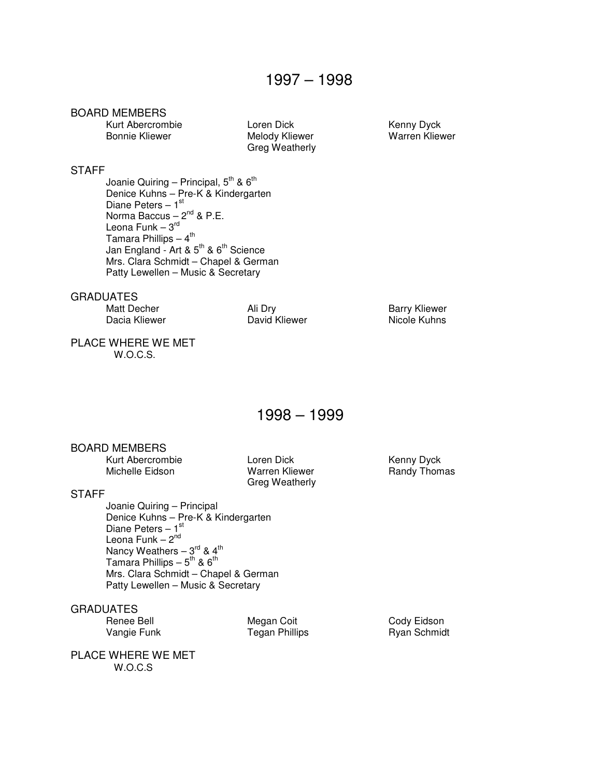Kurt Abercrombie Loren Dick Kenny Dyck

Melody Kliewer Greg Weatherly

#### **STAFF**

Joanie Quiring – Principal,  $5^{\text{th}}$  &  $6^{\text{th}}$  Denice Kuhns – Pre-K & Kindergarten Diane Peters  $-1<sup>st</sup>$ Norma Baccus –  $2^{nd}$  & P.E. Leona Funk – 3<sup>rd</sup> Tamara Phillips  $-4$ <sup>th</sup> Jan England - Art & 5<sup>th</sup> & 6<sup>th</sup> Science Mrs. Clara Schmidt – Chapel & German Patty Lewellen – Music & Secretary

GRADUATES

David Kliewer

Matt Decher Ali Dry Barry Kliewer

#### PLACE WHERE WE MET W.O.C.S.

### 1998 – 1999

#### BOARD MEMBERS

Kurt Abercrombie **Loren Dick** Kenny Dyck Michelle Eidson **Warren Kliewer** Randy Thomas

Greg Weatherly

#### **STAFF**

 Joanie Quiring – Principal Denice Kuhns – Pre-K & Kindergarten Diane Peters  $-1$ <sup>st</sup> Leona Funk  $-2<sup>nd</sup>$ Nancy Weathers  $-3^{\text{rd}}$  & 4<sup>th</sup> Tamara Phillips –  $5^{th}$  &  $6^{th}$  Mrs. Clara Schmidt – Chapel & German Patty Lewellen – Music & Secretary

## GRADUATES<br>Renee Bell

Megan Coit **Cody Eidson** Vangie Funk Tegan Phillips Ryan Schmidt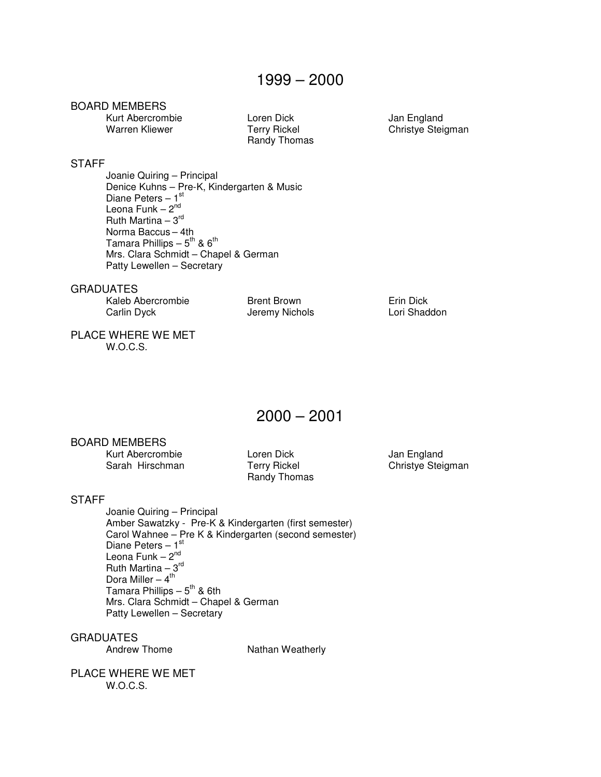Kurt Abercrombie Loren Dick Jan England Warren Kliewer Terry Rickel Christye Stei

Randy Thomas

Christye Steigman

### STAFF

 Joanie Quiring – Principal Denice Kuhns – Pre-K, Kindergarten & Music Diane Peters  $-1$ <sup>st</sup> Leona Funk  $-2<sup>nd</sup>$ Ruth Martina  $-3^{rd}$ Norma Baccus – 4th Tamara Phillips –  $5^{\text{th}}$  &  $6^{\text{th}}$  Mrs. Clara Schmidt – Chapel & German Patty Lewellen – Secretary

**GRADUATES** 

| Kaleb Abercrombie |  |
|-------------------|--|
| Carlin Dyck       |  |

Brent Brown **Erin Dick** Jeremy Nichols **Lori Shaddon** 

#### PLACE WHERE WE MET W.O.C.S.

2000 – 2001

#### BOARD MEMBERS

Kurt Abercrombie Loren Dick Jan England<br>
Sarah Hirschman Terry Rickel Christye Stei

Randy Thomas

Christye Steigman

#### **STAFF**

 Joanie Quiring – Principal Amber Sawatzky - Pre-K & Kindergarten (first semester) Carol Wahnee – Pre K & Kindergarten (second semester) Diane Peters  $-1<sup>st</sup>$ Leona Funk  $-2<sup>nd</sup>$ Ruth Martina  $-3^{rd}$ Dora Miller  $-4$ <sup>th</sup> Tamara Phillips  $-5^{th}$  & 6th Mrs. Clara Schmidt – Chapel & German Patty Lewellen – Secretary

GRADUATES<br>Andrew Thome

Nathan Weatherly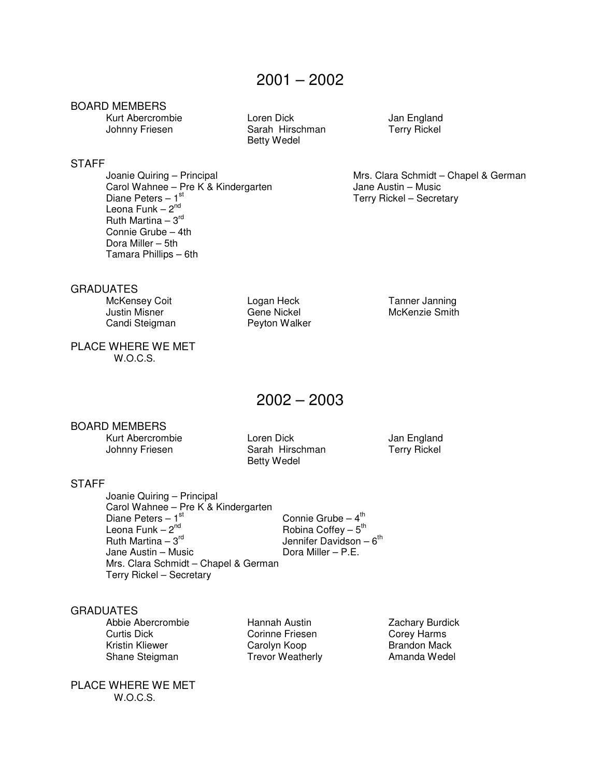STAFF<br>Joanie Quiring - Principal

Leona Funk  $-2<sup>nd</sup>$ Ruth Martina –  $3<sup>rd</sup>$  Connie Grube – 4th Dora Miller – 5th Tamara Phillips – 6th

Kurt Abercrombie Loren Dick Jan England<br>Johnny Friesen Sarah Hirschman Terry Rickel Sarah Hirschman Betty Wedel

Mrs. Clara Schmidt – Chapel & German Carol Wahnee – Pre K & Kindergarten Jane Austin – Music Diane Peters – 1<sup>st</sup> Terry Rickel – Secretary

GRADUATES

 Justin Misner Gene Nickel McKenzie Smith Candi Steigman

McKensey Coit **Logan Heck** Tanner Janning

PLACE WHERE WE MET W.O.C.S.

2002 – 2003

#### BOARD MEMBERS

Kurt Abercrombie Loren Dick Jan England<br>Johnny Friesen Sarah Hirschman Terry Rickel

Sarah Hirschman Betty Wedel

#### **STAFF**

 Joanie Quiring – Principal Carol Wahnee – Pre K & Kindergarten Diane Peters – 1st<br>Leona Funk – 2<sup>nd</sup> Connie Grube  $-4$ <sup>th</sup> Leona Funk –  $2^{nd}$  Robina Coffey –  $5^{th}$ Ruth Martina –  $3^{\text{rd}}$  and  $3^{\text{rd}}$  Jennifer Davidson –  $6^{\text{th}}$ Jane Austin – Music **Dora Miller – P.E.**  Mrs. Clara Schmidt – Chapel & German Terry Rickel – Secretary

#### **GRADUATES**

Abbie Abercrombie Hannah Austin Zachary Burdick<br>Curtis Dick Corinne Friesen Corey Harms Kristin Kliewer **Carolyn Koop** Brandon Mack Shane Steigman Trevor Weatherly **Amanda Wedel** 

PLACE WHERE WE MET W.O.C.S.

Corinne Friesen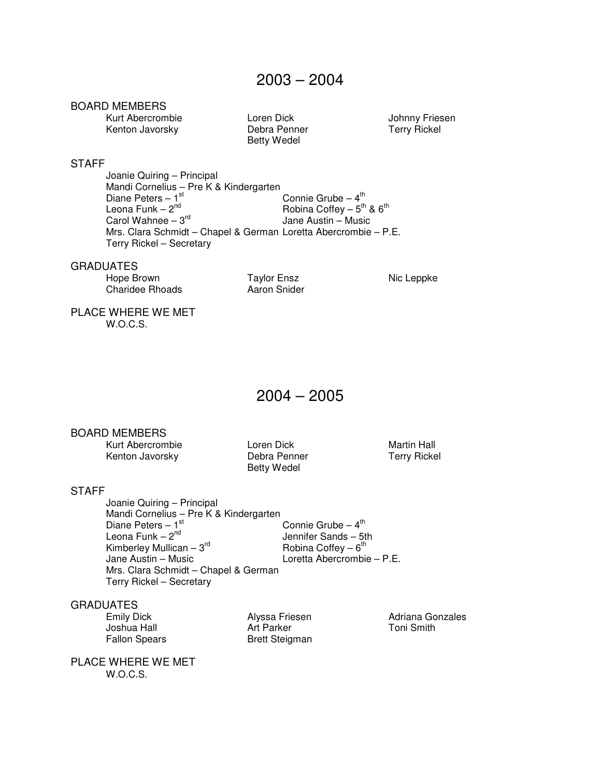Kurt Abercrombie Loren Dick Johnny Friesen<br>
Kenton Javorsky Debra Penner Terry Rickel Kenton Javorsky

Betty Wedel

#### STAFF Joanie Quiring – Principal Mandi Cornelius – Pre K & Kindergarten Diane Peters –  $1^{st}$  Connie Grube –  $4^{th}$ Leona Funk –  $2^{\text{nd}}$  Robina Coffey –  $5^{\text{th}}$  &  $6^{\text{th}}$ Carol Wahnee –  $3^{rd}$  Jane Austin – Music Mrs. Clara Schmidt – Chapel & German Loretta Abercrombie – P.E.

#### **GRADUATES**

Hope Brown Taylor Ensz Nic Leppke<br>
Charidee Rhoads Aaron Snider Charidee Rhoads

Terry Rickel – Secretary

PLACE WHERE WE MET W.O.C.S.

2004 – 2005

#### BOARD MEMBERS

Kurt Abercrombie **Martin Hall** Loren Dick **Martin Hall** Kenton Javorsky **Debra Penner** Terry Rickel

Betty Wedel

#### **STAFF**

 Joanie Quiring – Principal Mandi Cornelius – Pre K & Kindergarten<br>Diane Peters – 1<sup>st</sup> Diane Peters –  $1^{st}$  Connie Grube –  $4^{th}$ Leona Funk – 2<sup>nd</sup> Jennifer Sands – 5th Kimberley Mullican –  $3^{rd}$ <br>Jane Austin – Music Robina Coffey  $-6^{th}$ Loretta Abercrombie – P.E. Mrs. Clara Schmidt – Chapel & German Terry Rickel – Secretary

#### GRADUATES

Joshua Hall<br>Fallon Spears

**Brett Steigman** 

Emily Dick Alyssa Friesen Adriana Gonzales

PLACE WHERE WE MET

W.O.C.S.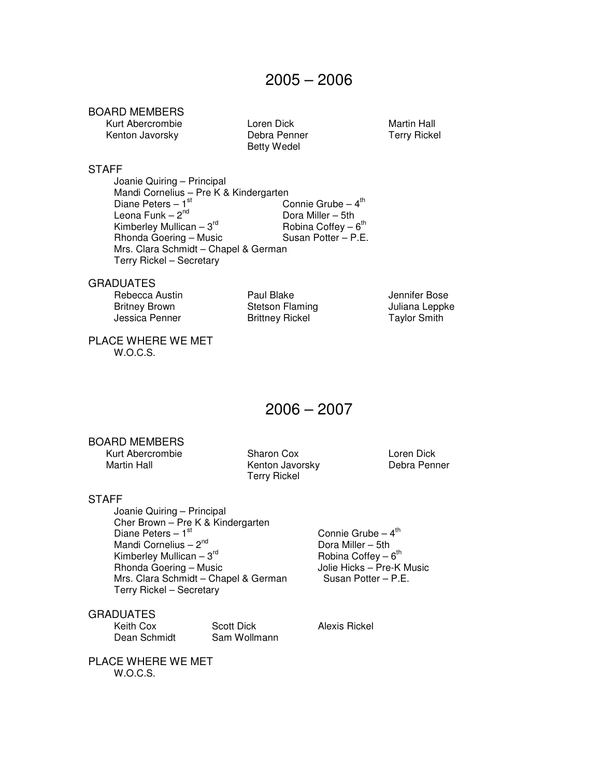Kurt Abercrombie Loren Dick Martin Hall Kenton Javorsky

Betty Wedel

#### **STAFF**

 Joanie Quiring – Principal Mandi Cornelius – Pre K & Kindergarten Diane Peters –  $1^{st}$  Connie Grube –  $4^{th}$ Connie Grube  $-4^{\text{th}}$ Leona Funk –  $2^{nd}$  Dora Miller – 5th Kimberley Mullican – 3rd Robina Coffey – 6th Robina Coffey -  $6^{th}$ Rhonda Goering – Music Mrs. Clara Schmidt – Chapel & German Terry Rickel – Secretary

#### GRADUATES

Rebecca Austin **Paul Blake** Paul Blake Jennifer Bose<br>
Britney Brown Stetson Flaming **Stets** Juliana Leppke Britney Brown Stetson Flaming<br>
Jessica Penner Brittney Rickel

Brittney Rickel Taylor Smith

PLACE WHERE WE MET W.O.C.S.

### 2006 – 2007

#### BOARD MEMBERS

Kurt Abercrombie Sharon Cox Loren Dick

Kenton Javorsky Terry Rickel

#### **STAFF**

 Joanie Quiring – Principal Cher Brown – Pre K & Kindergarten Diane Peters – 1<sup>st</sup> Connie Grube – 4<sup>th</sup> Connie Grube – 4<sup>th</sup> Connie Grube – 4<sup>th</sup> Mandi Cornelius –  $2<sup>nd</sup>$ Kimberley Mullican –  $3<sup>rd</sup>$ <br>Rhonda Goering – Music Mrs. Clara Schmidt – Chapel & German Terry Rickel – Secretary

Robina Coffey  $-6$ <sup>th</sup> Jolie Hicks – Pre-K Music<br>Susan Potter – P.E.

**GRADUATES** 

Keith Cox Scott Dick Alexis Rickel Dean Schmidt Sam Wollmann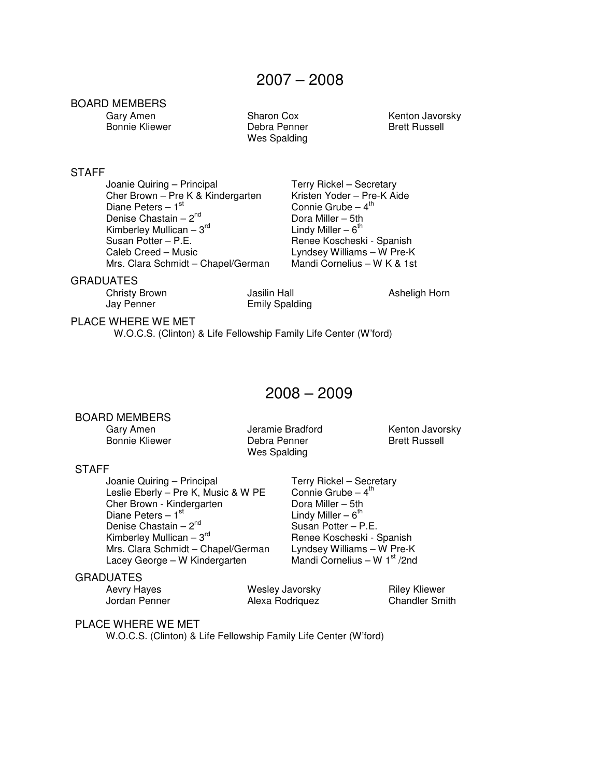## BOARD MEMBERS<br>Gary Amen

Bonnie Kliewer **Debra Penner** Brett Russell

Wes Spalding

Sharon Cox Kenton Javorsky

#### **STAFF**

Joanie Quiring – Principal Terry Rickel – Secretary<br>Cher Brown – Pre K & Kindergarten Kristen Yoder – Pre-K Aide Cher Brown – Pre K & Kindergarten<br>Diane Peters – 1<sup>st</sup> Denise Chastain –  $2^{nd}$ <br>
Kimberley Mullican –  $3^{rd}$ <br>
Lindy Miller – 6<sup>th</sup> Kimberley Mullican –  $3^{\text{rd}}$ <br>Susan Potter – P.E. Caleb Creed – Music Lyndsey Williams – W Pre-K<br>Mrs. Clara Schmidt – Chapel/German Mandi Cornelius – W K & 1st Mrs. Clara Schmidt – Chapel/German

Connie Grube –  $4<sup>th</sup>$  Dora Miller – 5th Renee Koscheski - Spanish

Renee Koscheski - Spanish<br>Lyndsey Williams – W Pre-K

#### GRADUATES

Jay Penner Emily Spalding

Christy Brown Jasilin Hall Asheligh Horn

#### PLACE WHERE WE MET

W.O.C.S. (Clinton) & Life Fellowship Family Life Center (W'ford)

### 2008 – 2009

#### BOARD MEMBERS

Bonnie Kliewer **Debra Penner** Brett Russell Wes Spalding

Gary Amen **Jeramie Bradford** Kenton Javorsky

#### **STAFF**

Joanie Quiring – Principal Terry Rickel – Secretary<br>Leslie Eberly – Pre K, Music & W PE Connie Grube – 4<sup>th</sup> Leslie Eberly – Pre K, Music & W PE Connie Grube – Cher Brown - Kindergarten Dora Miller – 5th Cher Brown - Kindergarten **Dora Miller – 5th**<br>Diane Peters – 1<sup>st</sup> Unit Viller – 6<sup>th</sup> Diane Peters – 1<sup>st</sup>  $\overline{ }$  Lindy Miller – 6<sup>th</sup><br>Denise Chastain – 2<sup>nd</sup> Susan Potter – P.E. Denise Chastain –  $2^{nd}$ <br>Kimberley Mullican –  $3^{rd}$ Mrs. Clara Schmidt – Chapel/German Lyndsey Williams – W Pre-K<br>Lacey George – W Kindergarten Mandi Cornelius – W 1<sup>st</sup> /2nd Lacey George – W Kindergarten

#### GRADUATES

Aevry Hayes **Mesley Javorsky** Riley Kliewer Jordan Penner Alexa Rodriquez Chandler Smith

#### PLACE WHERE WE MET

W.O.C.S. (Clinton) & Life Fellowship Family Life Center (W'ford)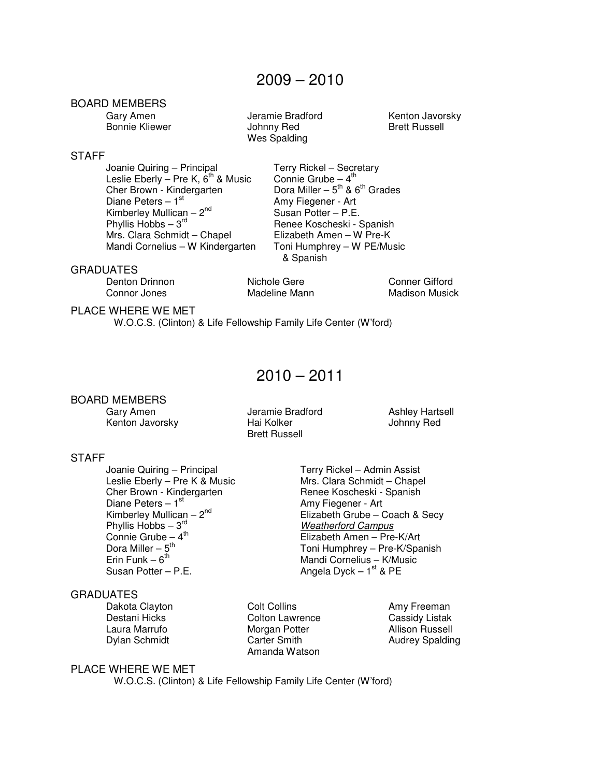Amy Fiegener - Art

& Spanish

Renee Koscheski - Spanish<br>Elizabeth Amen – W Pre-K

#### BOARD MEMBERS

Gary Amen **Gary Amen** Jeramie Bradford Kenton Javorsky Bonnie Kliewer **Markt School Hollow** Johnny Red **Brett Russell** Wes Spalding

#### **STAFF**

Joanie Quiring – Principal Terry Rickel – Secretary<br>Leslie Eberly – Pre K, 6<sup>th</sup> & Music Connie Grube – 4<sup>th</sup> Leslie Eberly – Pre K,  $6<sup>th</sup>$  & Music Cher Brown - Kindergarten Cher Brown - Kindergarten Dora Miller –  $5^{th}$  &  $6^{th}$  Grades<br>Diane Peters – 1<sup>st</sup> Amy Fiegener - Art Kimberley Mullican –  $2^{nd}$ <br>
Phyllis Hobbs –  $3^{rd}$ <br>
Susan Potter – P.E.<br>
Renee Koscheski - 1 Mrs. Clara Schmidt – Chapel Mandi Cornelius – W Kindergarten Toni Humphrey – W PE/Music

#### GRADUATES

Denton Drinnon **Nichole Gere** Conner Gifford Connor Jones Madeline Mann Madison Musick

#### PLACE WHERE WE MET

W.O.C.S. (Clinton) & Life Fellowship Family Life Center (W'ford)

### $2010 - 2011$

#### BOARD MEMBERS

Kenton Javorsky

 Gary Amen Jeramie Bradford Ashley Hartsell Brett Russell

#### **STAFF**

Joanie Quiring – Principal **Terry Rickel – Admin Assist**<br>Leslie Eberly – Pre K & Music Mrs. Clara Schmidt – Chapel Leslie Eberly – Pre K & Music Cher Brown - Kindergarten Renee Koscheski - Spanish<br>Diane Peters – 1<sup>st</sup> Rene Renew Renet - Arthur Piedener - Arthur Diane Peters – 1<sup>st</sup> Amy Fiegener - Art Kimberley Mullican – 2<sup>nd</sup> Amy Fiegener - Art Elizabeth Grube – 0 Phyllis Hobbs –  $3^{\text{rd}}$ <br>Connie Grube –  $4^{\text{th}}$  Connie Grube – 4th Elizabeth Amen – Pre-K/Art Dora Miller – 5<sup>th</sup>  $\blacksquare$  Toni Humphrey – Pre-K/Spanish Erin Funk – 6<sup>th</sup> Mandi Cornelius – K/Music Susan Potter – P.E.  $\qquad \qquad \text{Anglea Dyck} - 1^{\text{st}} \& \text{PE}$ 

#### GRADUATES

Dakota Clayton **Colt Collins** Colt Collins Amy Freeman Colton Lawrence **Amy Freeman**<br>
Destani Hicks Colton Lawrence Cassidy Listak

Colton Lawrence Laura Marrufo **Morgan Potter Morgan Potter** Allison Russell Dylan Schmidt Carter Smith Carter Smith Audrey Spalding Amanda Watson

#### PLACE WHERE WE MET

W.O.C.S. (Clinton) & Life Fellowship Family Life Center (W'ford)

Elizabeth Grube – Coach & Secy<br>Weatherford Campus

Mandi Cornelius – K/Music